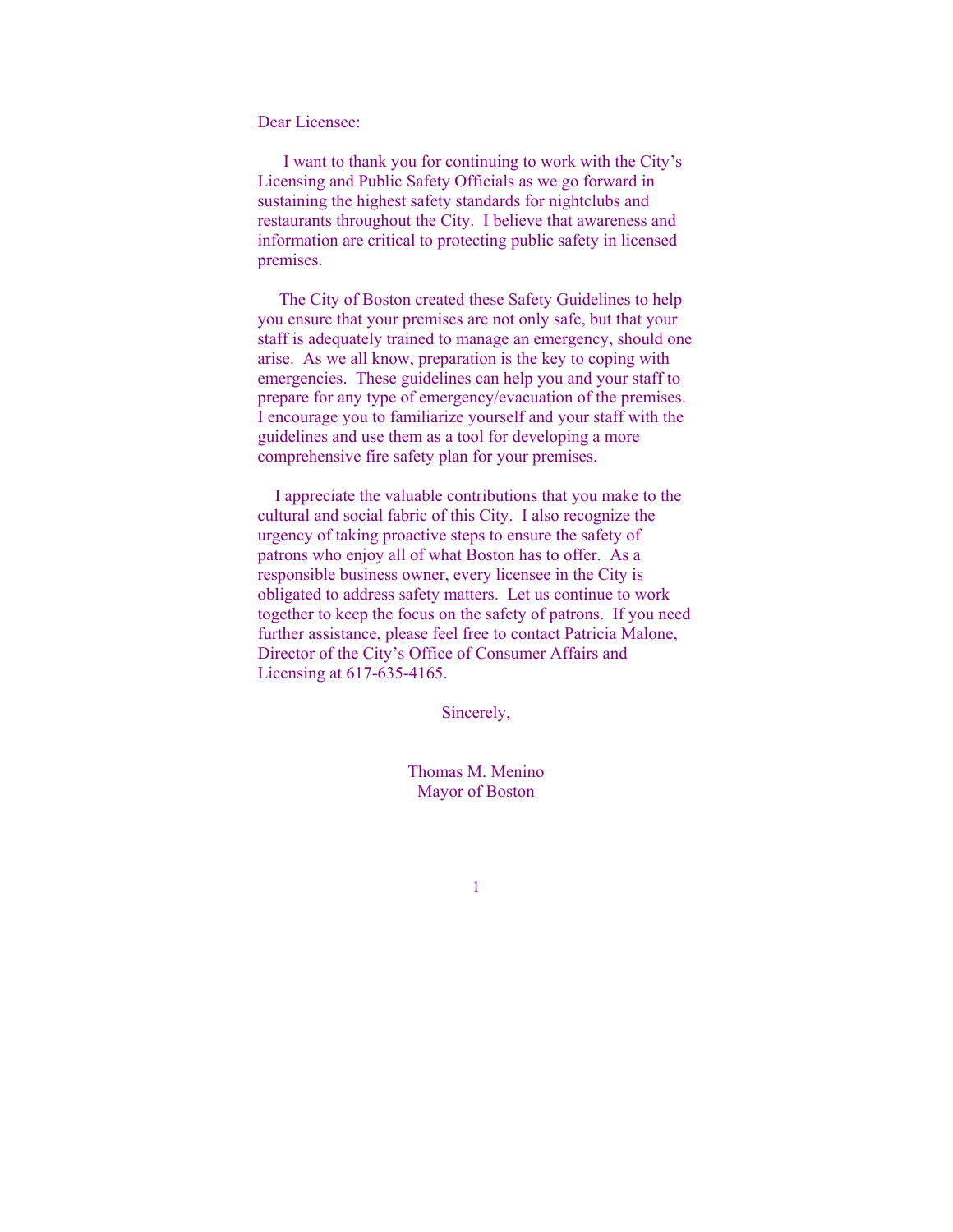Dear Licensee:

 I want to thank you for continuing to work with the City's Licensing and Public Safety Officials as we go forward in sustaining the highest safety standards for nightclubs and restaurants throughout the City. I believe that awareness and information are critical to protecting public safety in licensed premises.

 The City of Boston created these Safety Guidelines to help you ensure that your premises are not only safe, but that your staff is adequately trained to manage an emergency, should one arise. As we all know, preparation is the key to coping with emergencies. These guidelines can help you and your staff to prepare for any type of emergency/evacuation of the premises. I encourage you to familiarize yourself and your staff with the guidelines and use them as a tool for developing a more comprehensive fire safety plan for your premises.

 I appreciate the valuable contributions that you make to the cultural and social fabric of this City. I also recognize the urgency of taking proactive steps to ensure the safety of patrons who enjoy all of what Boston has to offer. As a responsible business owner, every licensee in the City is obligated to address safety matters. Let us continue to work together to keep the focus on the safety of patrons. If you need further assistance, please feel free to contact Patricia Malone, Director of the City's Office of Consumer Affairs and Licensing at 617-635-4165.

Sincerely,

Thomas M. Menino Mayor of Boston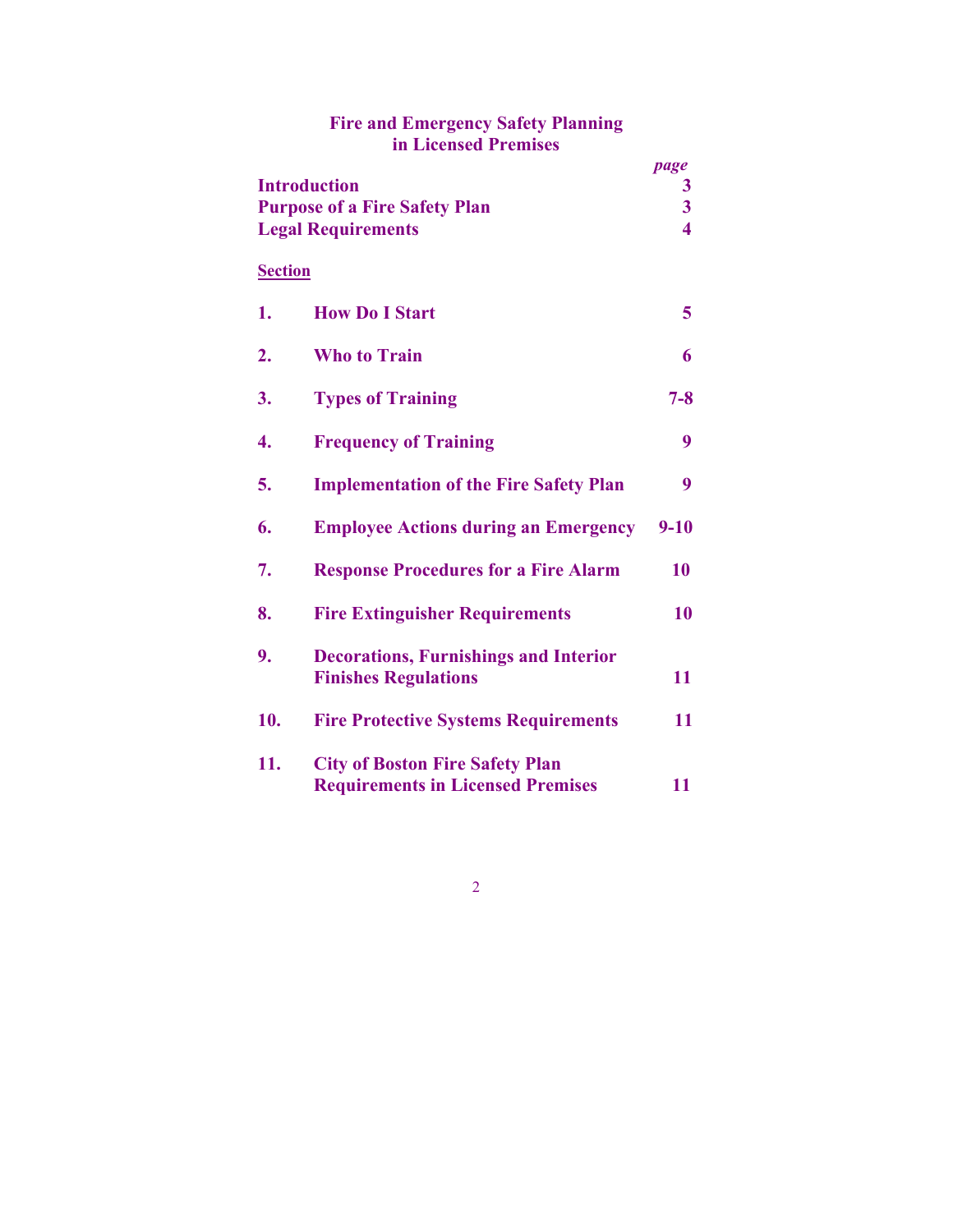| in Licensed Premises                                                                     |                                                                                    |                                           |
|------------------------------------------------------------------------------------------|------------------------------------------------------------------------------------|-------------------------------------------|
| <b>Introduction</b><br><b>Purpose of a Fire Safety Plan</b><br><b>Legal Requirements</b> |                                                                                    | page<br>3<br>3<br>$\overline{\mathbf{4}}$ |
| <b>Section</b>                                                                           |                                                                                    |                                           |
| 1.                                                                                       | <b>How Do I Start</b>                                                              | 5                                         |
| 2.                                                                                       | <b>Who to Train</b>                                                                | 6                                         |
| 3.                                                                                       | <b>Types of Training</b>                                                           | $7 - 8$                                   |
| 4.                                                                                       | <b>Frequency of Training</b>                                                       | 9                                         |
| 5.                                                                                       | <b>Implementation of the Fire Safety Plan</b>                                      | 9                                         |
| 6.                                                                                       | <b>Employee Actions during an Emergency</b>                                        | $9 - 10$                                  |
| 7.                                                                                       | <b>Response Procedures for a Fire Alarm</b>                                        | 10                                        |
| 8.                                                                                       | <b>Fire Extinguisher Requirements</b>                                              | 10                                        |
| 9.                                                                                       | <b>Decorations, Furnishings and Interior</b><br><b>Finishes Regulations</b>        | 11                                        |
| 10.                                                                                      | <b>Fire Protective Systems Requirements</b>                                        | 11                                        |
| 11.                                                                                      | <b>City of Boston Fire Safety Plan</b><br><b>Requirements in Licensed Premises</b> | 11                                        |

# **Fire and Emergency Safety Planning in Licensed Premises**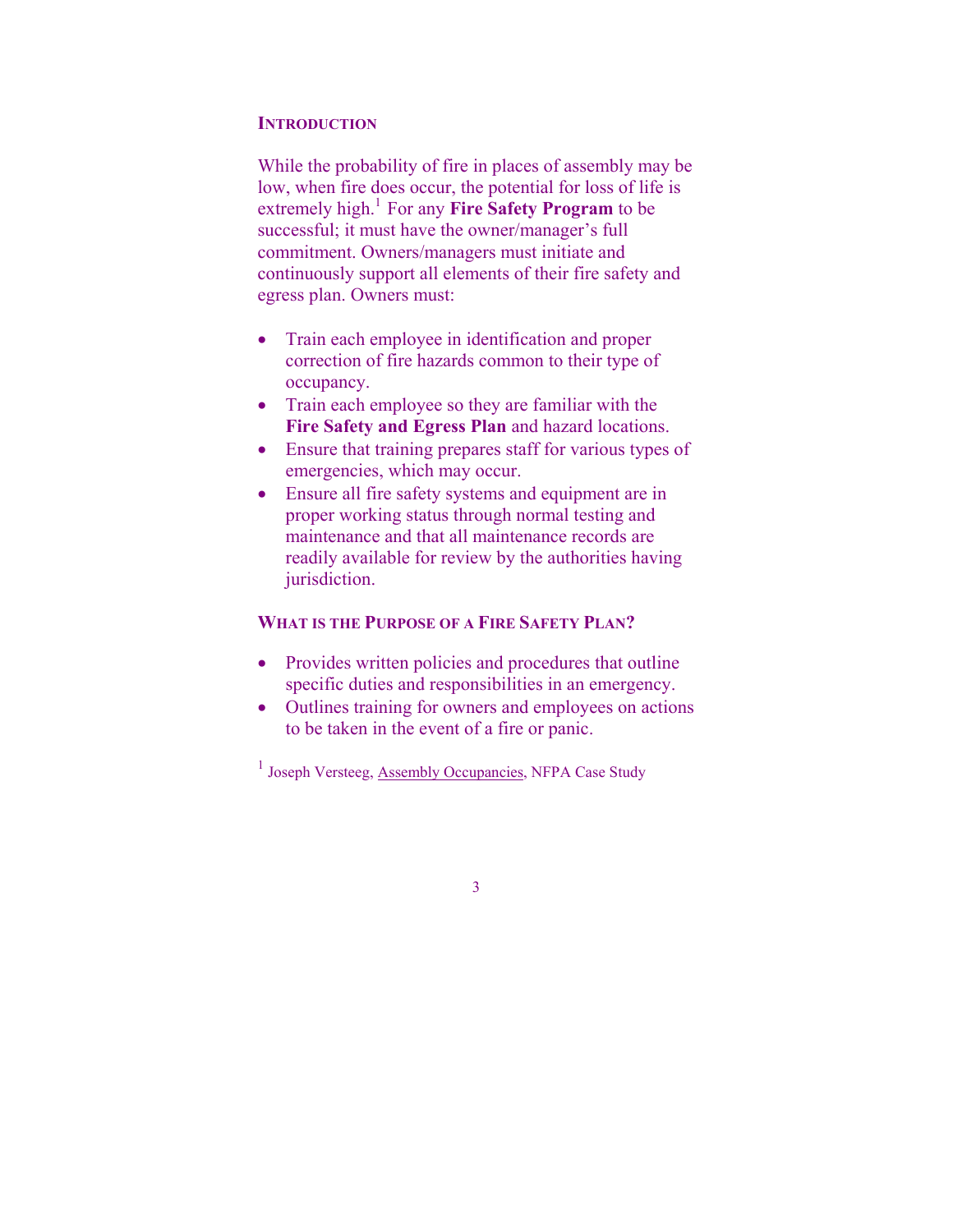#### **INTRODUCTION**

While the probability of fire in places of assembly may be low, when fire does occur, the potential for loss of life is extremely high.<sup>1</sup> For any **Fire Safety Program** to be successful; it must have the owner/manager's full commitment. Owners/managers must initiate and continuously support all elements of their fire safety and egress plan. Owners must:

- Train each employee in identification and proper correction of fire hazards common to their type of occupancy.
- Train each employee so they are familiar with the **Fire Safety and Egress Plan** and hazard locations.
- Ensure that training prepares staff for various types of emergencies, which may occur.
- Ensure all fire safety systems and equipment are in proper working status through normal testing and maintenance and that all maintenance records are readily available for review by the authorities having jurisdiction.

#### **WHAT IS THE PURPOSE OF A FIRE SAFETY PLAN?**

- Provides written policies and procedures that outline specific duties and responsibilities in an emergency.
- Outlines training for owners and employees on actions to be taken in the event of a fire or panic.

<sup>1</sup> Joseph Versteeg, Assembly Occupancies, NFPA Case Study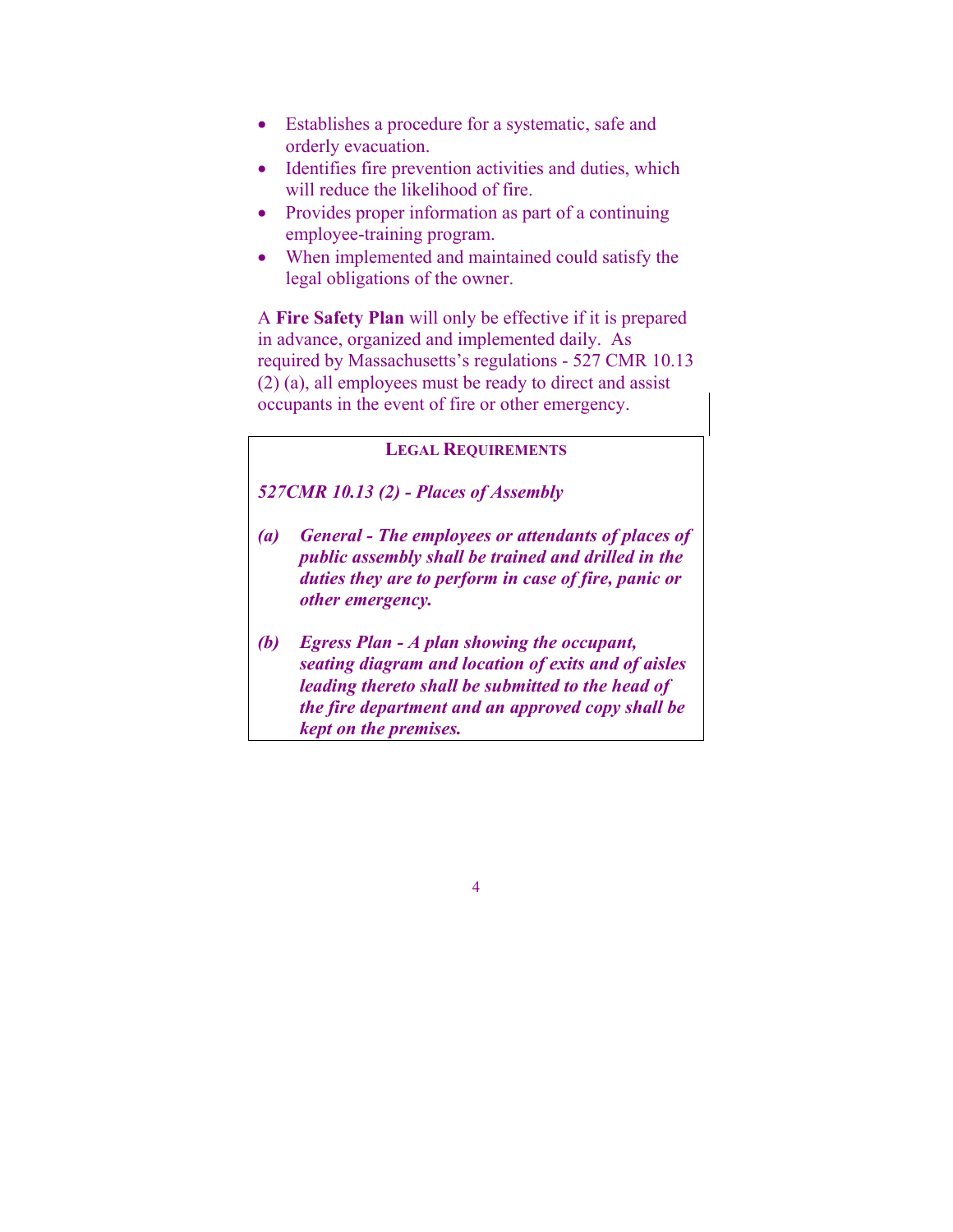- Establishes a procedure for a systematic, safe and orderly evacuation.
- Identifies fire prevention activities and duties, which will reduce the likelihood of fire.
- Provides proper information as part of a continuing employee-training program.
- When implemented and maintained could satisfy the legal obligations of the owner.

A **Fire Safety Plan** will only be effective if it is prepared in advance, organized and implemented daily. As required by Massachusetts's regulations - 527 CMR 10.13 (2) (a), all employees must be ready to direct and assist occupants in the event of fire or other emergency.

#### **LEGAL REQUIREMENTS**

## *527CMR 10.13 (2) - Places of Assembly*

- *(a) General The employees or attendants of places of public assembly shall be trained and drilled in the duties they are to perform in case of fire, panic or other emergency.*
- *(b) Egress Plan A plan showing the occupant, seating diagram and location of exits and of aisles leading thereto shall be submitted to the head of the fire department and an approved copy shall be kept on the premises.*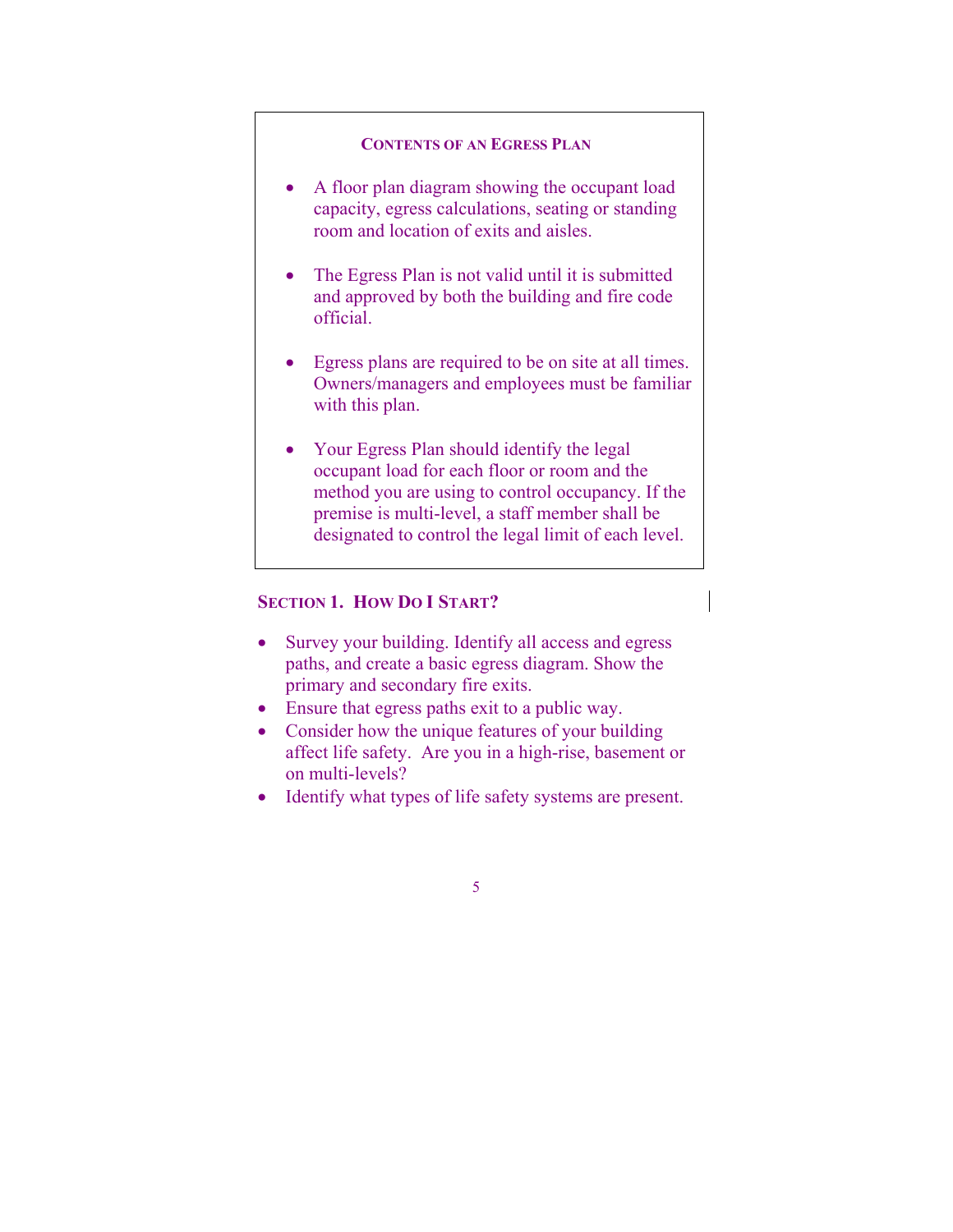#### **CONTENTS OF AN EGRESS PLAN**

- A floor plan diagram showing the occupant load capacity, egress calculations, seating or standing room and location of exits and aisles.
- The Egress Plan is not valid until it is submitted and approved by both the building and fire code official.
- Egress plans are required to be on site at all times. Owners/managers and employees must be familiar with this plan.
- Your Egress Plan should identify the legal occupant load for each floor or room and the method you are using to control occupancy. If the premise is multi-level, a staff member shall be designated to control the legal limit of each level.

### **SECTION 1. HOW DO I START?**

- Survey your building. Identify all access and egress paths, and create a basic egress diagram. Show the primary and secondary fire exits.
- Ensure that egress paths exit to a public way.
- Consider how the unique features of your building affect life safety. Are you in a high-rise, basement or on multi-levels?
- Identify what types of life safety systems are present.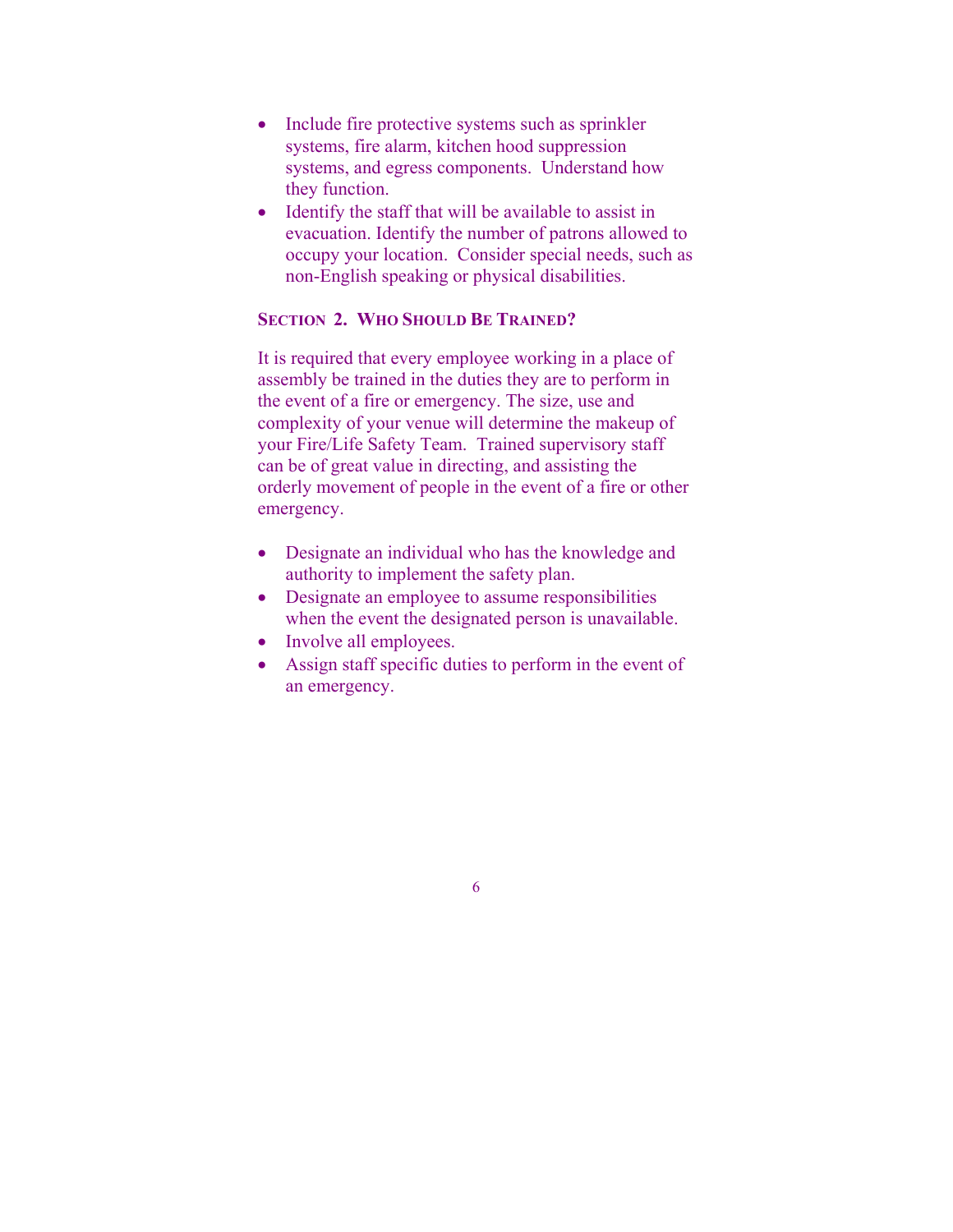- Include fire protective systems such as sprinkler systems, fire alarm, kitchen hood suppression systems, and egress components. Understand how they function.
- Identify the staff that will be available to assist in evacuation. Identify the number of patrons allowed to occupy your location. Consider special needs, such as non-English speaking or physical disabilities.

## **SECTION 2. WHO SHOULD BE TRAINED?**

It is required that every employee working in a place of assembly be trained in the duties they are to perform in the event of a fire or emergency. The size, use and complexity of your venue will determine the makeup of your Fire/Life Safety Team. Trained supervisory staff can be of great value in directing, and assisting the orderly movement of people in the event of a fire or other emergency.

- Designate an individual who has the knowledge and authority to implement the safety plan.
- Designate an employee to assume responsibilities when the event the designated person is unavailable.
- Involve all employees.
- Assign staff specific duties to perform in the event of an emergency.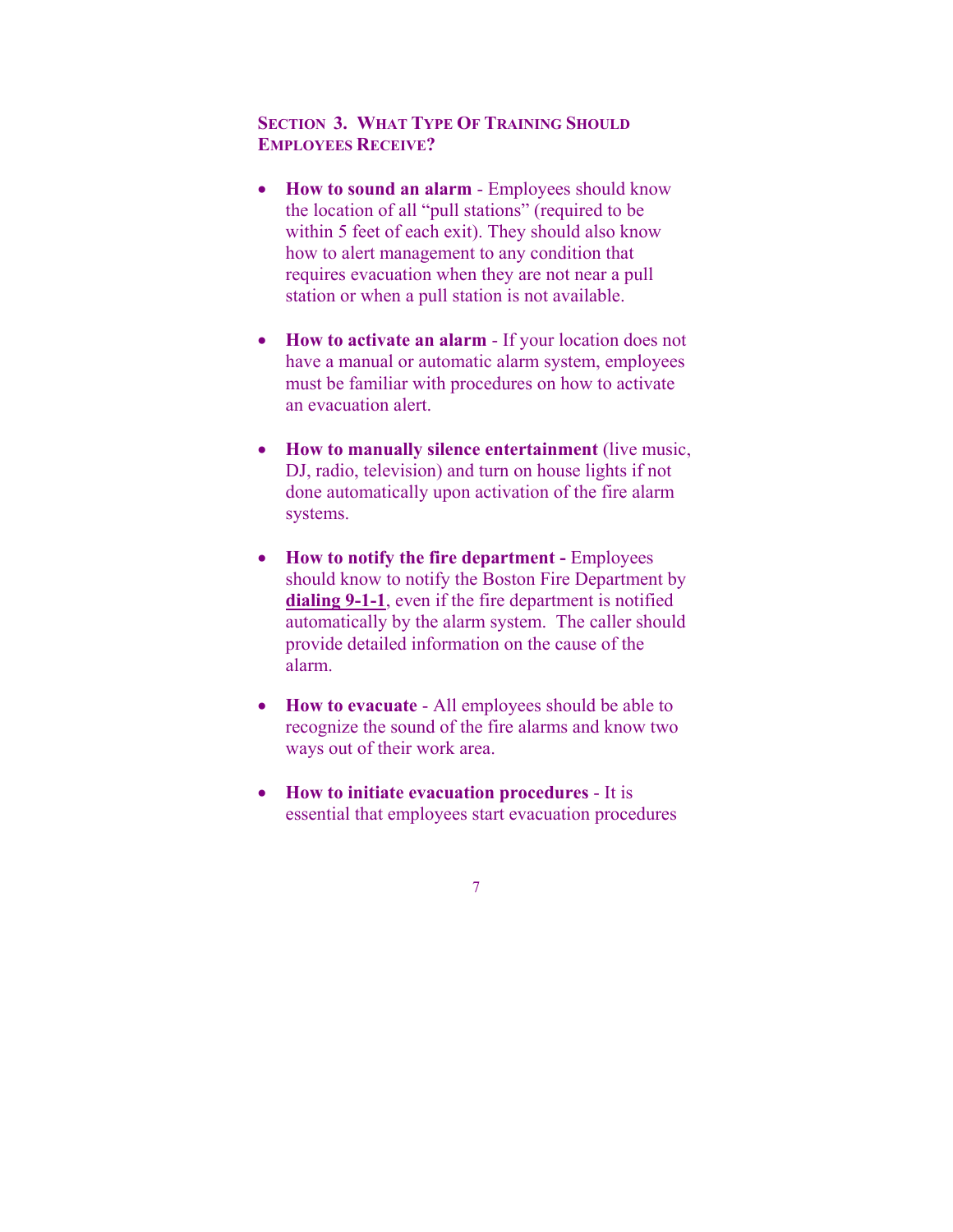## **SECTION 3. WHAT TYPE OF TRAINING SHOULD EMPLOYEES RECEIVE?**

- **How to sound an alarm** Employees should know the location of all "pull stations" (required to be within 5 feet of each exit). They should also know how to alert management to any condition that requires evacuation when they are not near a pull station or when a pull station is not available.
- **How to activate an alarm** If your location does not have a manual or automatic alarm system, employees must be familiar with procedures on how to activate an evacuation alert.
- **How to manually silence entertainment** (live music, DJ, radio, television) and turn on house lights if not done automatically upon activation of the fire alarm systems.
- **How to notify the fire department Employees** should know to notify the Boston Fire Department by **dialing 9-1-1**, even if the fire department is notified automatically by the alarm system. The caller should provide detailed information on the cause of the alarm.
- **How to evacuate** All employees should be able to recognize the sound of the fire alarms and know two ways out of their work area.
- **How to initiate evacuation procedures** It is essential that employees start evacuation procedures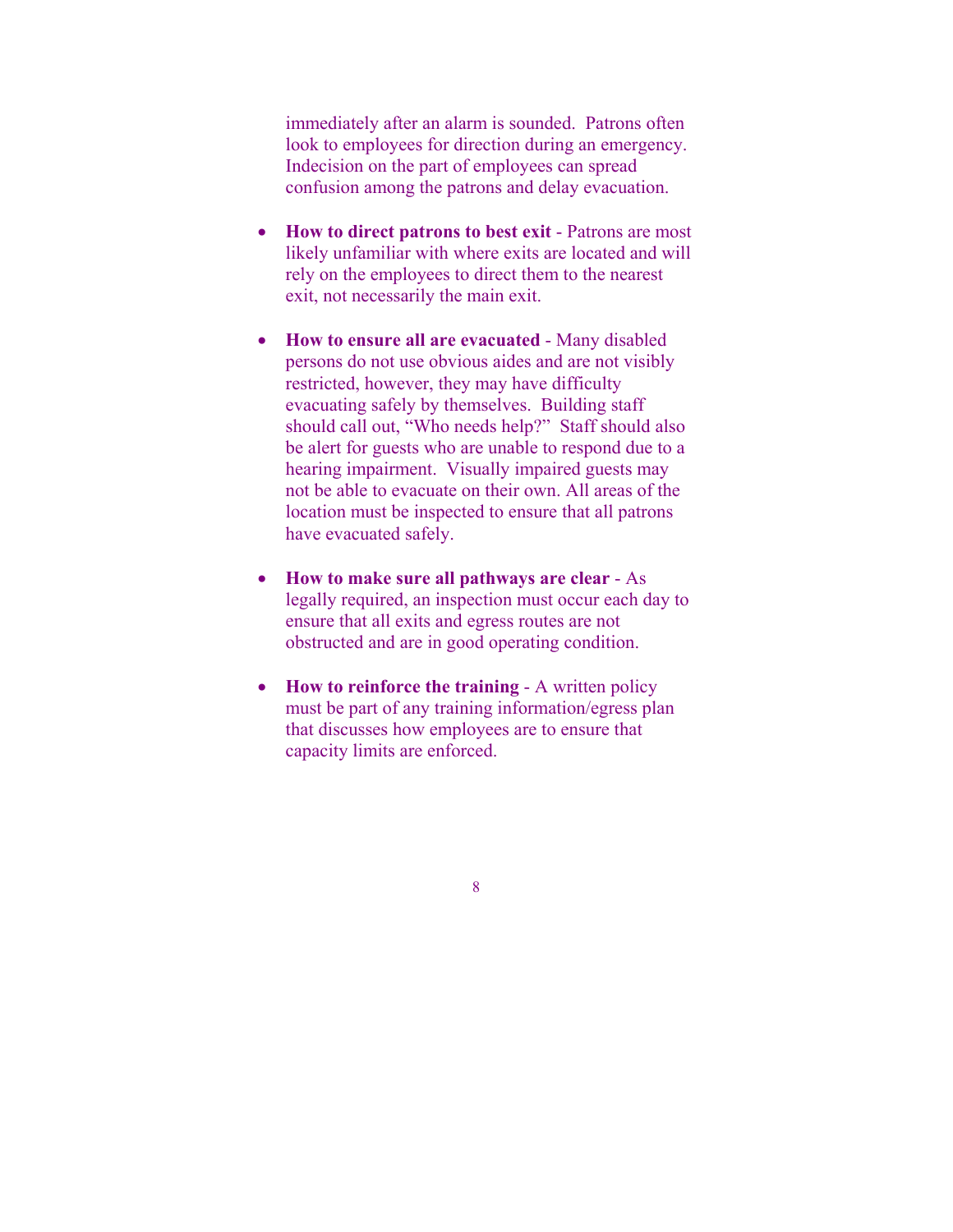immediately after an alarm is sounded. Patrons often look to employees for direction during an emergency. Indecision on the part of employees can spread confusion among the patrons and delay evacuation.

- **How to direct patrons to best exit** Patrons are most likely unfamiliar with where exits are located and will rely on the employees to direct them to the nearest exit, not necessarily the main exit.
- **How to ensure all are evacuated** Many disabled persons do not use obvious aides and are not visibly restricted, however, they may have difficulty evacuating safely by themselves. Building staff should call out, "Who needs help?" Staff should also be alert for guests who are unable to respond due to a hearing impairment. Visually impaired guests may not be able to evacuate on their own. All areas of the location must be inspected to ensure that all patrons have evacuated safely.
- **How to make sure all pathways are clear** As legally required, an inspection must occur each day to ensure that all exits and egress routes are not obstructed and are in good operating condition.
- **How to reinforce the training**  A written policy must be part of any training information/egress plan that discusses how employees are to ensure that capacity limits are enforced.
	- 8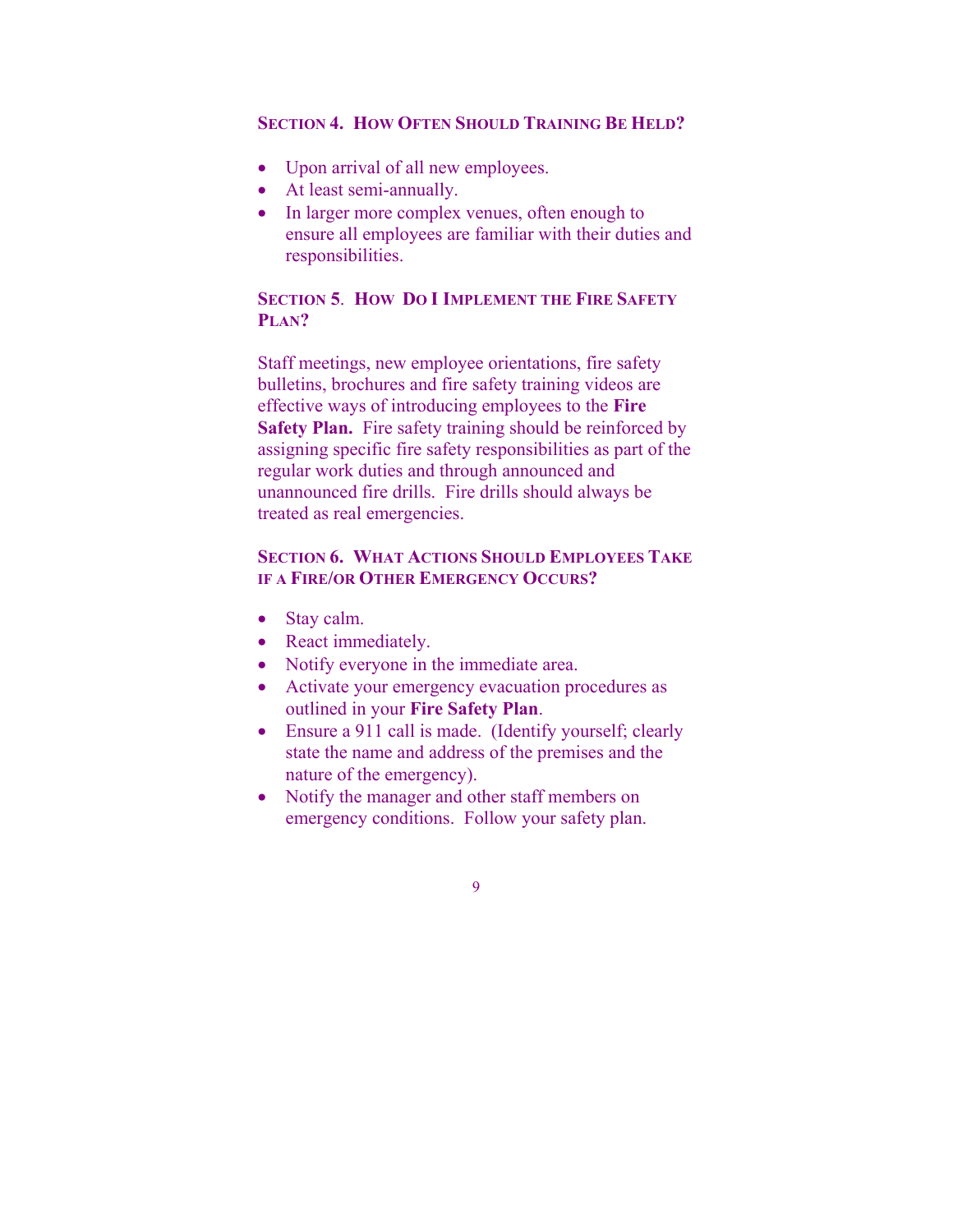#### **SECTION 4. HOW OFTEN SHOULD TRAINING BE HELD?**

- Upon arrival of all new employees.
- At least semi-annually.
- In larger more complex venues, often enough to ensure all employees are familiar with their duties and responsibilities.

## **SECTION 5**. **HOW DO I IMPLEMENT THE FIRE SAFETY PLAN?**

Staff meetings, new employee orientations, fire safety bulletins, brochures and fire safety training videos are effective ways of introducing employees to the **Fire Safety Plan.** Fire safety training should be reinforced by assigning specific fire safety responsibilities as part of the regular work duties and through announced and unannounced fire drills. Fire drills should always be treated as real emergencies.

# **SECTION 6. WHAT ACTIONS SHOULD EMPLOYEES TAKE IF A FIRE/OR OTHER EMERGENCY OCCURS?**

- Stay calm.
- React immediately.
- Notify everyone in the immediate area.
- Activate your emergency evacuation procedures as outlined in your **Fire Safety Plan**.
- Ensure a 911 call is made. (Identify yourself; clearly state the name and address of the premises and the nature of the emergency).
- Notify the manager and other staff members on emergency conditions. Follow your safety plan.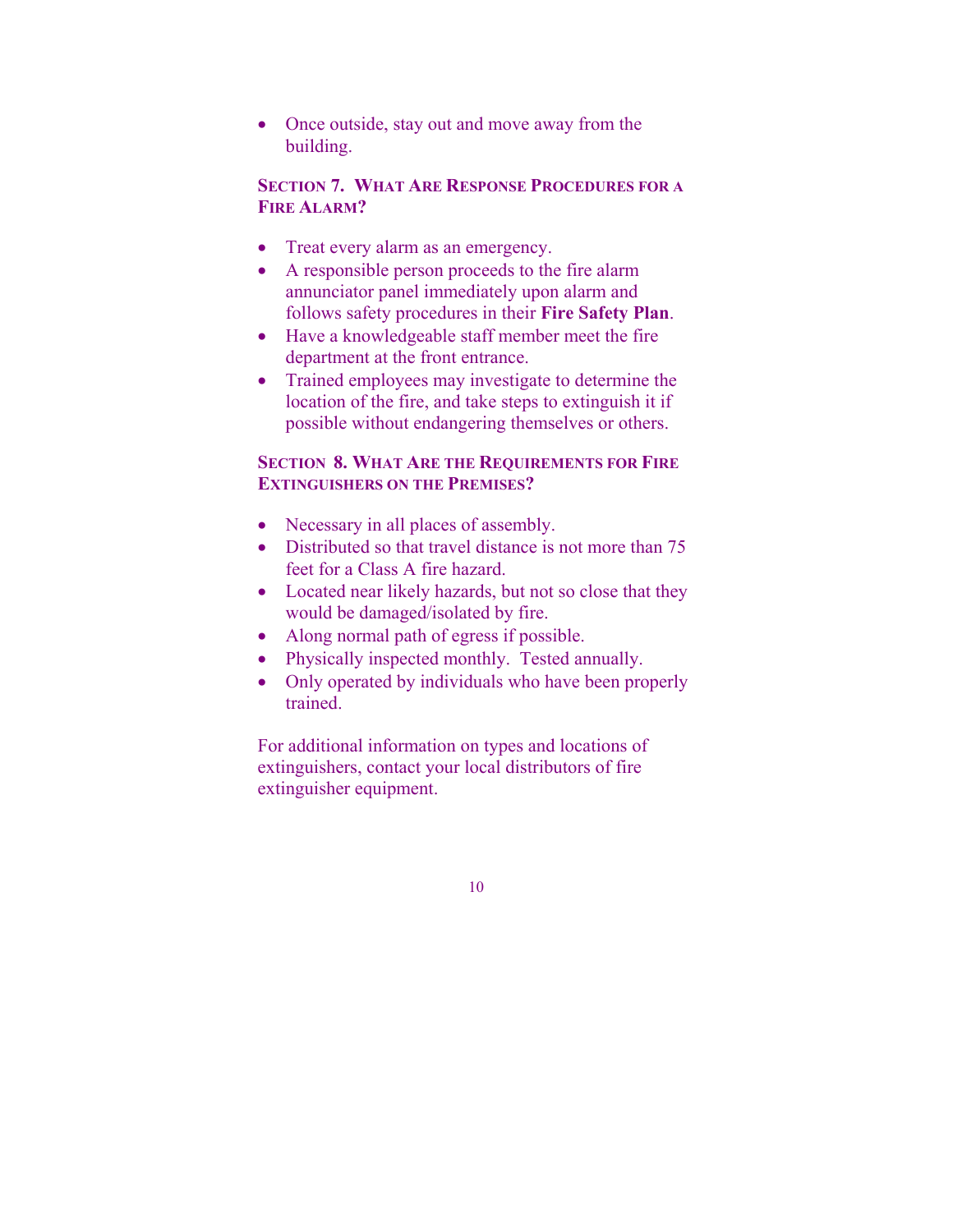• Once outside, stay out and move away from the building.

# **SECTION 7. WHAT ARE RESPONSE PROCEDURES FOR A FIRE ALARM?**

- Treat every alarm as an emergency.
- A responsible person proceeds to the fire alarm annunciator panel immediately upon alarm and follows safety procedures in their **Fire Safety Plan**.
- Have a knowledgeable staff member meet the fire department at the front entrance.
- Trained employees may investigate to determine the location of the fire, and take steps to extinguish it if possible without endangering themselves or others.

## **SECTION 8. WHAT ARE THE REQUIREMENTS FOR FIRE EXTINGUISHERS ON THE PREMISES?**

- Necessary in all places of assembly.
- Distributed so that travel distance is not more than 75 feet for a Class A fire hazard.
- Located near likely hazards, but not so close that they would be damaged/isolated by fire.
- Along normal path of egress if possible.
- Physically inspected monthly. Tested annually.
- Only operated by individuals who have been properly trained.

For additional information on types and locations of extinguishers, contact your local distributors of fire extinguisher equipment.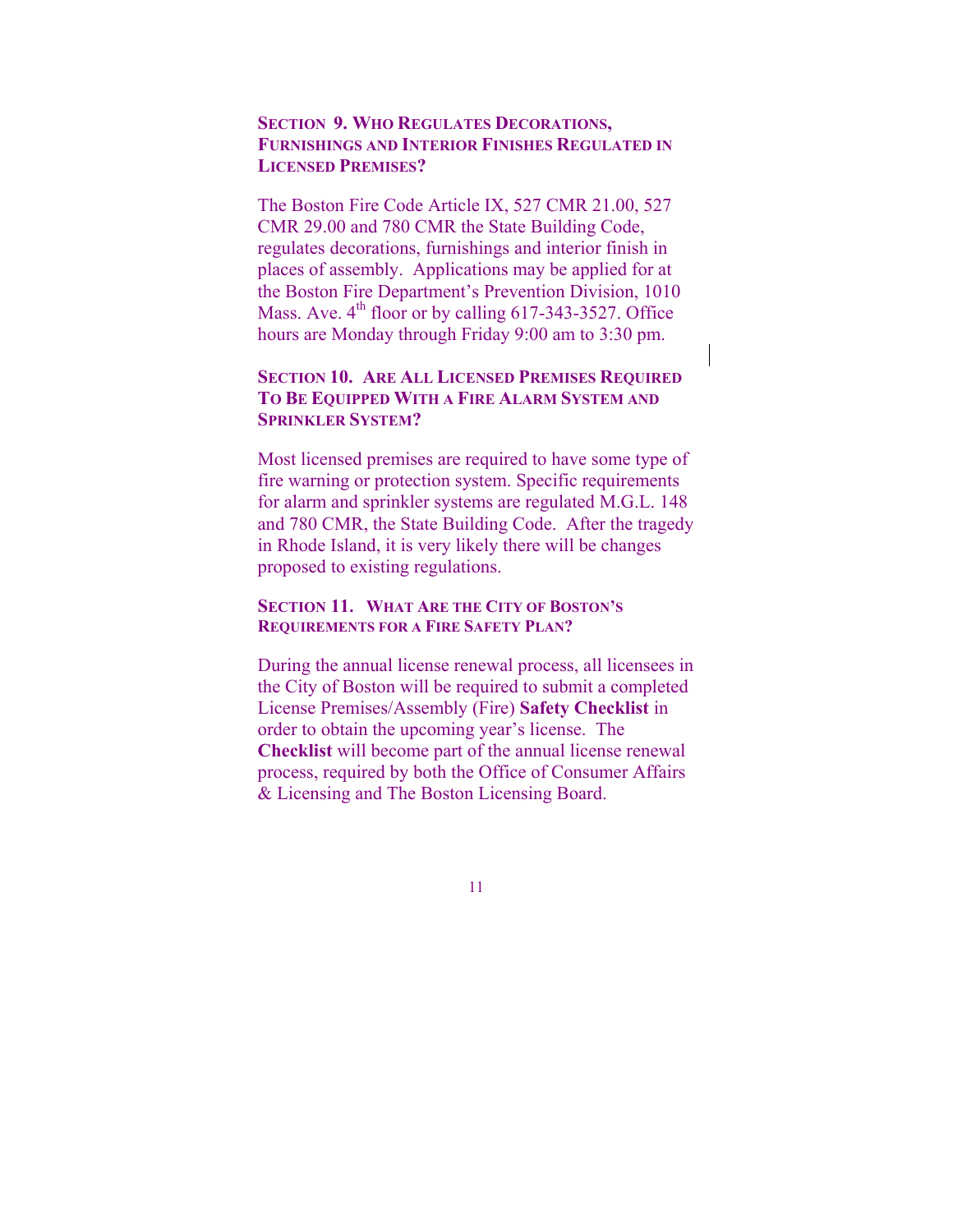## **SECTION 9. WHO REGULATES DECORATIONS, FURNISHINGS AND INTERIOR FINISHES REGULATED IN LICENSED PREMISES?**

The Boston Fire Code Article IX, 527 CMR 21.00, 527 CMR 29.00 and 780 CMR the State Building Code, regulates decorations, furnishings and interior finish in places of assembly. Applications may be applied for at the Boston Fire Department's Prevention Division, 1010 Mass. Ave.  $4<sup>th</sup>$  floor or by calling 617-343-3527. Office hours are Monday through Friday 9:00 am to 3:30 pm.

### **SECTION 10. ARE ALL LICENSED PREMISES REQUIRED TO BE EQUIPPED WITH A FIRE ALARM SYSTEM AND SPRINKLER SYSTEM?**

Most licensed premises are required to have some type of fire warning or protection system. Specific requirements for alarm and sprinkler systems are regulated M.G.L. 148 and 780 CMR, the State Building Code. After the tragedy in Rhode Island, it is very likely there will be changes proposed to existing regulations.

#### **SECTION 11. WHAT ARE THE CITY OF BOSTON'S REQUIREMENTS FOR A FIRE SAFETY PLAN?**

During the annual license renewal process, all licensees in the City of Boston will be required to submit a completed License Premises/Assembly (Fire) **Safety Checklist** in order to obtain the upcoming year's license. The **Checklist** will become part of the annual license renewal process, required by both the Office of Consumer Affairs & Licensing and The Boston Licensing Board.